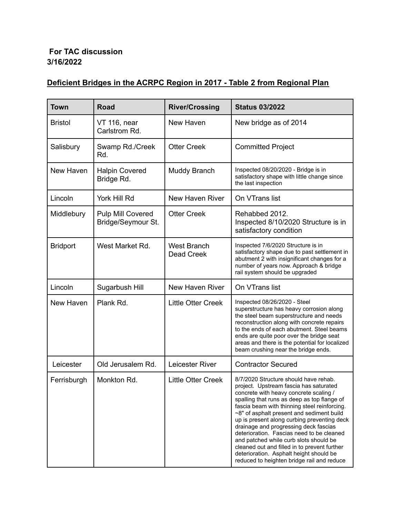## **For TAC discussion 3/16/2022**

## **Deficient Bridges in the ACRPC Region in 2017 - Table 2 from Regional Plan**

| <b>Town</b>     | <b>Road</b>                                    | <b>River/Crossing</b>                   | <b>Status 03/2022</b>                                                                                                                                                                                                                                                                                                                                                                                                                                                                                                                                                                         |
|-----------------|------------------------------------------------|-----------------------------------------|-----------------------------------------------------------------------------------------------------------------------------------------------------------------------------------------------------------------------------------------------------------------------------------------------------------------------------------------------------------------------------------------------------------------------------------------------------------------------------------------------------------------------------------------------------------------------------------------------|
| <b>Bristol</b>  | <b>VT 116, near</b><br>Carlstrom Rd.           | New Haven                               | New bridge as of 2014                                                                                                                                                                                                                                                                                                                                                                                                                                                                                                                                                                         |
| Salisbury       | Swamp Rd./Creek<br>Rd.                         | <b>Otter Creek</b>                      | <b>Committed Project</b>                                                                                                                                                                                                                                                                                                                                                                                                                                                                                                                                                                      |
| New Haven       | <b>Halpin Covered</b><br>Bridge Rd.            | Muddy Branch                            | Inspected 08/20/2020 - Bridge is in<br>satisfactory shape with little change since<br>the last inspection                                                                                                                                                                                                                                                                                                                                                                                                                                                                                     |
| Lincoln         | York Hill Rd                                   | New Haven River                         | On VTrans list                                                                                                                                                                                                                                                                                                                                                                                                                                                                                                                                                                                |
| Middlebury      | <b>Pulp Mill Covered</b><br>Bridge/Seymour St. | <b>Otter Creek</b>                      | Rehabbed 2012.<br>Inspected 8/10/2020 Structure is in<br>satisfactory condition                                                                                                                                                                                                                                                                                                                                                                                                                                                                                                               |
| <b>Bridport</b> | West Market Rd.                                | <b>West Branch</b><br><b>Dead Creek</b> | Inspected 7/6/2020 Structure is in<br>satisfactory shape due to past settlement in<br>abutment 2 with insignificant changes for a<br>number of years now. Approach & bridge<br>rail system should be upgraded                                                                                                                                                                                                                                                                                                                                                                                 |
| Lincoln         | Sugarbush Hill                                 | New Haven River                         | On VTrans list                                                                                                                                                                                                                                                                                                                                                                                                                                                                                                                                                                                |
| New Haven       | Plank Rd.                                      | <b>Little Otter Creek</b>               | Inspected 08/26/2020 - Steel<br>superstructure has heavy corrosion along<br>the steel beam superstructure and needs<br>reconstruction along with concrete repairs<br>to the ends of each abutment. Steel beams<br>ends are quite poor over the bridge seat<br>areas and there is the potential for localized<br>beam crushing near the bridge ends.                                                                                                                                                                                                                                           |
| Leicester       | Old Jerusalem Rd.                              | Leicester River                         | <b>Contractor Secured</b>                                                                                                                                                                                                                                                                                                                                                                                                                                                                                                                                                                     |
| Ferrisburgh     | Monkton Rd.                                    | <b>Little Otter Creek</b>               | 8/7/2020 Structure should have rehab.<br>project. Upstream fascia has saturated<br>concrete with heavy concrete scaling /<br>spalling that runs as deep as top flange of<br>fascia beam with thinning steel reinforcing.<br>~8" of asphalt present and sediment build<br>up is present along curbing preventing deck<br>drainage and progressing deck fascias<br>deterioration. Fascias need to be cleaned<br>and patched while curb slots should be<br>cleaned out and filled in to prevent further<br>deterioration. Asphalt height should be<br>reduced to heighten bridge rail and reduce |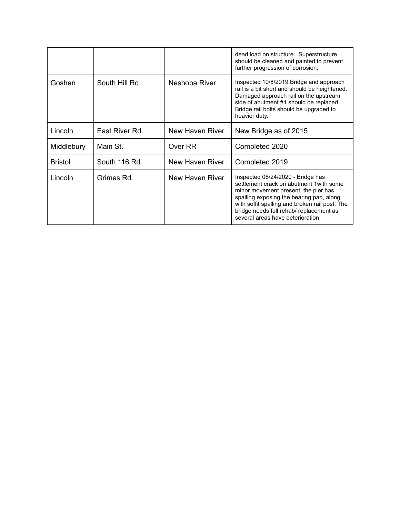|                |                |                 | dead load on structure. Superstructure<br>should be cleaned and painted to prevent<br>further progression of corrosion.                                                                                                                                                                            |
|----------------|----------------|-----------------|----------------------------------------------------------------------------------------------------------------------------------------------------------------------------------------------------------------------------------------------------------------------------------------------------|
| Goshen         | South Hill Rd. | Neshoba River   | Inspected 10/8/2019 Bridge and approach<br>rail is a bit short and should be heightened.<br>Damaged approach rail on the upstream<br>side of abutment #1 should be replaced.<br>Bridge rail bolts should be upgraded to<br>heavier duty.                                                           |
| Lincoln        | East River Rd. | New Haven River | New Bridge as of 2015                                                                                                                                                                                                                                                                              |
| Middlebury     | Main St.       | Over RR         | Completed 2020                                                                                                                                                                                                                                                                                     |
| <b>Bristol</b> | South 116 Rd.  | New Haven River | Completed 2019                                                                                                                                                                                                                                                                                     |
| Lincoln        | Grimes Rd.     | New Haven River | Inspected 08/24/2020 - Bridge has<br>settlement crack on abutment 1 with some<br>minor movement present, the pier has<br>spalling exposing the bearing pad, along<br>with soffit spalling and broken rail post. The<br>bridge needs full rehab/ replacement as<br>several areas have deterioration |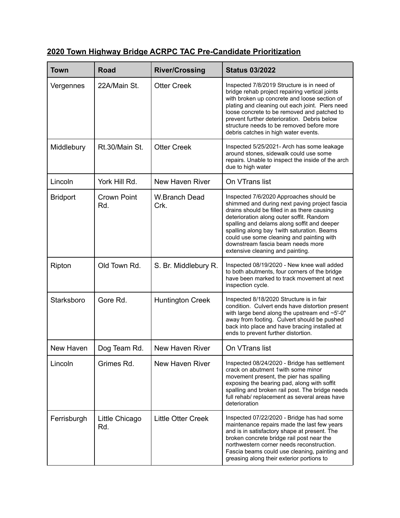## **2020 Town Highway Bridge ACRPC TAC Pre-Candidate Prioritization**

| <b>Town</b>     | <b>Road</b>               | <b>River/Crossing</b>        | <b>Status 03/2022</b>                                                                                                                                                                                                                                                                                                                                                                                   |
|-----------------|---------------------------|------------------------------|---------------------------------------------------------------------------------------------------------------------------------------------------------------------------------------------------------------------------------------------------------------------------------------------------------------------------------------------------------------------------------------------------------|
| Vergennes       | 22A/Main St.              | <b>Otter Creek</b>           | Inspected 7/8/2019 Structure is in need of<br>bridge rehab project repairing vertical joints<br>with broken up concrete and loose section of<br>plating and cleaning out each joint. Piers need<br>loose concrete to be removed and patched to<br>prevent further deterioration. Debris below<br>structure needs to be removed before more<br>debris catches in high water events.                      |
| Middlebury      | Rt.30/Main St.            | <b>Otter Creek</b>           | Inspected 5/25/2021- Arch has some leakage<br>around stones, sidewalk could use some<br>repairs. Unable to inspect the inside of the arch<br>due to high water                                                                                                                                                                                                                                          |
| Lincoln         | York Hill Rd.             | New Haven River              | On VTrans list                                                                                                                                                                                                                                                                                                                                                                                          |
| <b>Bridport</b> | <b>Crown Point</b><br>Rd. | <b>W.Branch Dead</b><br>Crk. | Inspected 7/6/2020 Approaches should be<br>shimmed and during next paving project fascia<br>drains should be filled in as there causing<br>deterioration along outer soffit. Random<br>spalling and delams along soffit and deeper<br>spalling along bay 1 with saturation. Beams<br>could use some cleaning and painting with<br>downstream fascia beam needs more<br>extensive cleaning and painting. |
| Ripton          | Old Town Rd.              | S. Br. Middlebury R.         | Inspected 08/19/2020 - New knee wall added<br>to both abutments, four corners of the bridge<br>have been marked to track movement at next<br>inspection cycle.                                                                                                                                                                                                                                          |
| Starksboro      | Gore Rd.                  | <b>Huntington Creek</b>      | Inspected 8/18/2020 Structure is in fair<br>condition. Culvert ends have distortion present<br>with large bend along the upstream end ~5'-0"<br>away from footing. Culvert should be pushed<br>back into place and have bracing installed at<br>ends to prevent further distortion.                                                                                                                     |
| New Haven       | Dog Team Rd.              | New Haven River              | On VTrans list                                                                                                                                                                                                                                                                                                                                                                                          |
| Lincoln         | Grimes Rd.                | New Haven River              | Inspected 08/24/2020 - Bridge has settlement<br>crack on abutment 1 with some minor<br>movement present, the pier has spalling<br>exposing the bearing pad, along with soffit<br>spalling and broken rail post. The bridge needs<br>full rehab/ replacement as several areas have<br>deterioration                                                                                                      |
| Ferrisburgh     | Little Chicago<br>Rd.     | <b>Little Otter Creek</b>    | Inspected 07/22/2020 - Bridge has had some<br>maintenance repairs made the last few years<br>and is in satisfactory shape at present. The<br>broken concrete bridge rail post near the<br>northwestern corner needs reconstruction.<br>Fascia beams could use cleaning, painting and<br>greasing along their exterior portions to                                                                       |